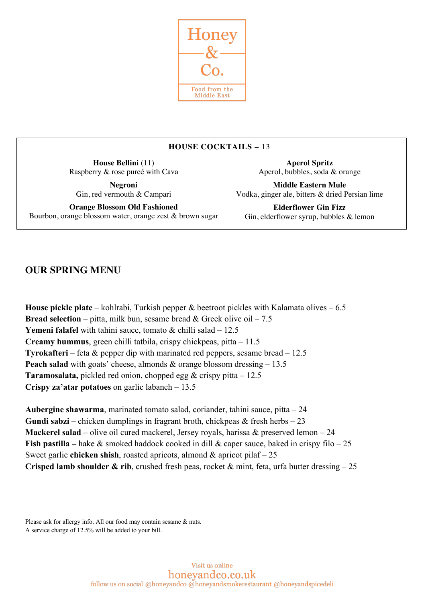

# **HOUSE COCKTAILS** – 13

**House Bellini** (11) Raspberry & rose pureé with Cava

**Negroni** Gin, red vermouth & Campari

**Orange Blossom Old Fashioned** Bourbon, orange blossom water, orange zest & brown sugar

**Aperol Spritz** Aperol, bubbles, soda & orange

**Middle Eastern Mule** Vodka, ginger ale, bitters & dried Persian lime

**Elderflower Gin Fizz** Gin, elderflower syrup, bubbles & lemon

# **OUR SPRING MENU**

**House pickle plate** – kohlrabi, Turkish pepper & beetroot pickles with Kalamata olives – 6.5 **Bread selection** – pitta, milk bun, sesame bread  $\&$  Greek olive oil – 7.5 **Yemeni falafel** with tahini sauce, tomato & chilli salad – 12.5 **Creamy hummus**, green chilli tatbila, crispy chickpeas, pitta – 11.5 **Tyrokafteri** – feta & pepper dip with marinated red peppers, sesame bread – 12.5 **Peach salad** with goats' cheese, almonds  $\&$  orange blossom dressing  $-13.5$ **Taramosalata,** pickled red onion, chopped egg & crispy pitta – 12.5 **Crispy za'atar potatoes** on garlic labaneh – 13.5

**Aubergine shawarma**, marinated tomato salad, coriander, tahini sauce, pitta – 24 **Gundi sabzi –** chicken dumplings in fragrant broth, chickpeas & fresh herbs – 23 **Mackerel salad** – olive oil cured mackerel, Jersey royals, harissa & preserved lemon – 24 **Fish pastilla –** hake & smoked haddock cooked in dill & caper sauce, baked in crispy filo – 25 Sweet garlic **chicken shish**, roasted apricots, almond & apricot pilaf – 25 **Crisped lamb shoulder & rib**, crushed fresh peas, rocket & mint, feta, urfa butter dressing – 25

Please ask for allergy info. All our food may contain sesame & nuts. A service charge of 12.5% will be added to your bill.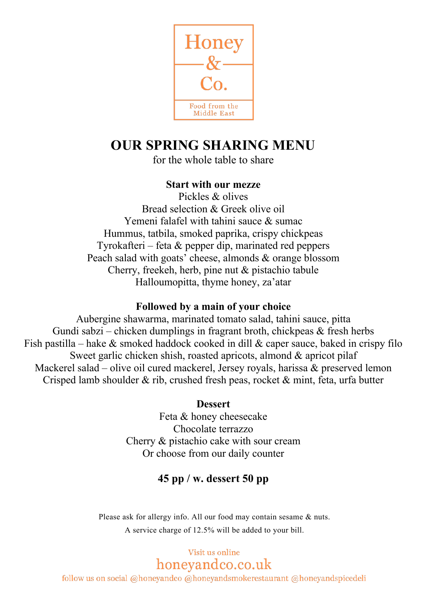

# **OUR SPRING SHARING MENU**

for the whole table to share

#### **Start with our mezze**

Pickles & olives Bread selection & Greek olive oil Yemeni falafel with tahini sauce & sumac Hummus, tatbila, smoked paprika, crispy chickpeas Tyrokafteri – feta  $\&$  pepper dip, marinated red peppers Peach salad with goats' cheese, almonds & orange blossom Cherry, freekeh, herb, pine nut & pistachio tabule Halloumopitta, thyme honey, za'atar

#### **Followed by a main of your choice**

Aubergine shawarma, marinated tomato salad, tahini sauce, pitta Gundi sabzi – chicken dumplings in fragrant broth, chickpeas  $\&$  fresh herbs Fish pastilla – hake  $\&$  smoked haddock cooked in dill  $\&$  caper sauce, baked in crispy filo Sweet garlic chicken shish, roasted apricots, almond & apricot pilaf Mackerel salad – olive oil cured mackerel, Jersey royals, harissa  $\&$  preserved lemon Crisped lamb shoulder & rib, crushed fresh peas, rocket & mint, feta, urfa butter

#### **Dessert**

Feta & honey cheesecake Chocolate terrazzo Cherry & pistachio cake with sour cream Or choose from our daily counter

## **45 pp / w. dessert 50 pp**

Please ask for allergy info. All our food may contain sesame & nuts. A service charge of 12.5% will be added to your bill.

> Visit us online honeyandco.co.uk

follow us on social @honeyandco @honeyandsmokerestaurant @honeyandspicedeli